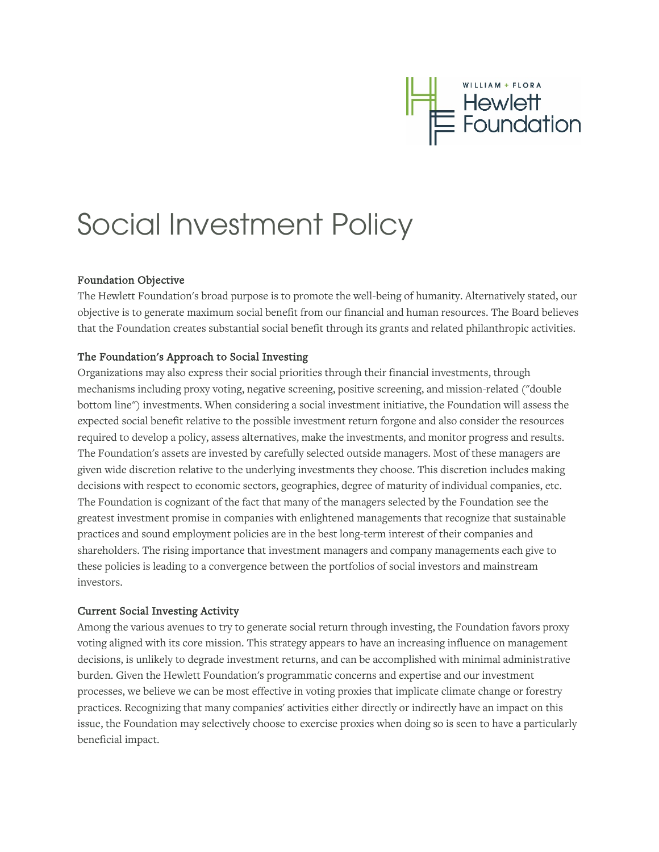

## Social Investment Policy

## Foundation Objective

The Hewlett Foundation's broad purpose is to promote the well-being of humanity. Alternatively stated, our objective is to generate maximum social benefit from our financial and human resources. The Board believes that the Foundation creates substantial social benefit through its grants and related philanthropic activities.

## The Foundation's Approach to Social Investing

Organizations may also express their social priorities through their financial investments, through mechanisms including proxy voting, negative screening, positive screening, and mission-related ("double bottom line") investments. When considering a social investment initiative, the Foundation will assess the expected social benefit relative to the possible investment return forgone and also consider the resources required to develop a policy, assess alternatives, make the investments, and monitor progress and results. The Foundation's assets are invested by carefully selected outside managers. Most of these managers are given wide discretion relative to the underlying investments they choose. This discretion includes making decisions with respect to economic sectors, geographies, degree of maturity of individual companies, etc. The Foundation is cognizant of the fact that many of the managers selected by the Foundation see the greatest investment promise in companies with enlightened managements that recognize that sustainable practices and sound employment policies are in the best long-term interest of their companies and shareholders. The rising importance that investment managers and company managements each give to these policies is leading to a convergence between the portfolios of social investors and mainstream investors.

## Current Social Investing Activity

Among the various avenues to try to generate social return through investing, the Foundation favors proxy voting aligned with its core mission. This strategy appears to have an increasing influence on management decisions, is unlikely to degrade investment returns, and can be accomplished with minimal administrative burden. Given the Hewlett Foundation's programmatic concerns and expertise and our investment processes, we believe we can be most effective in voting proxies that implicate climate change or forestry practices. Recognizing that many companies' activities either directly or indirectly have an impact on this issue, the Foundation may selectively choose to exercise proxies when doing so is seen to have a particularly beneficial impact.